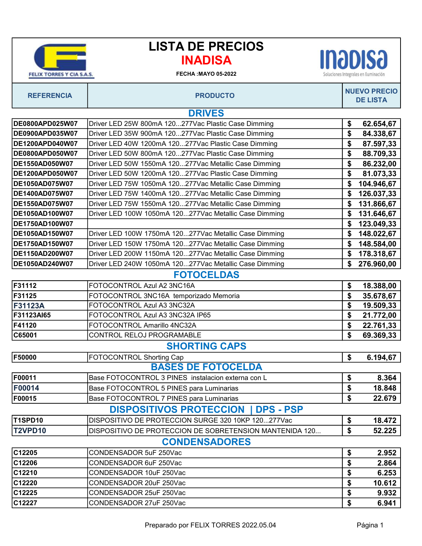| <b>FELIX TORRES Y CIA S.A.</b> |
|--------------------------------|

## INADISA LISTA DE PRECIOS



**INJOISJ** Soluciones Integrales en Iluminación

| DE0800APD025W07                                    | Driver LED 25W 800mA 120277Vac Plastic Case Dimming     | \$ | 62.654,67  |  |
|----------------------------------------------------|---------------------------------------------------------|----|------------|--|
| DE0900APD035W07                                    | Driver LED 35W 900mA 120277Vac Plastic Case Dimming     | \$ | 84.338,67  |  |
| DE1200APD040W07                                    | Driver LED 40W 1200mA 120277Vac Plastic Case Dimming    | \$ | 87.597,33  |  |
| DE0800APD050W07                                    | Driver LED 50W 800mA 120277Vac Plastic Case Dimming     | \$ | 88.709,33  |  |
| <b>DE1550AD050W07</b>                              | Driver LED 50W 1550mA 120277Vac Metallic Case Dimming   | \$ | 86.232,00  |  |
| DE1200APD050W07                                    | Driver LED 50W 1200mA 120277Vac Plastic Case Dimming    | \$ | 81.073,33  |  |
| DE1050AD075W07                                     | Driver LED 75W 1050mA 120277Vac Metallic Case Dimming   | \$ | 104.946,67 |  |
| DE1400AD075W07                                     | Driver LED 75W 1400mA 120277Vac Metallic Case Dimming   | \$ | 126.037,33 |  |
| DE1550AD075W07                                     | Driver LED 75W 1550mA 120277Vac Metallic Case Dimming   | \$ | 131.866,67 |  |
| DE1050AD100W07                                     | Driver LED 100W 1050mA 120277Vac Metallic Case Dimming  | \$ | 131.646,67 |  |
| DE1750AD100W07                                     |                                                         | \$ | 123.049,33 |  |
| DE1050AD150W07                                     | Driver LED 100W 1750mA 120277Vac Metallic Case Dimming  | \$ | 148.022,67 |  |
| DE1750AD150W07                                     | Driver LED 150W 1750mA 120277Vac Metallic Case Dimming  | \$ | 148.584,00 |  |
| DE1150AD200W07                                     | Driver LED 200W 1150mA 120277Vac Metallic Case Dimming  | \$ | 178.318,67 |  |
| DE1050AD240W07                                     | Driver LED 240W 1050mA 120277Vac Metallic Case Dimming  | \$ | 276.960,00 |  |
|                                                    | <b>FOTOCELDAS</b>                                       |    |            |  |
| F31112                                             | FOTOCONTROL Azul A2 3NC16A                              | \$ | 18.388,00  |  |
| F31125                                             | FOTOCONTROL 3NC16A temporizado Memoria                  | \$ | 35.678,67  |  |
| F31123A                                            | FOTOCONTROL Azul A3 3NC32A                              | \$ | 19.509,33  |  |
| F31123AI65                                         | FOTOCONTROL Azul A3 3NC32A IP65                         | \$ | 21.772,00  |  |
| F41120                                             | FOTOCONTROL Amarillo 4NC32A                             | \$ | 22.761,33  |  |
| C65001                                             | CONTROL RELOJ PROGRAMABLE                               | \$ | 69.369,33  |  |
| <b>SHORTING CAPS</b>                               |                                                         |    |            |  |
| F50000                                             | FOTOCONTROL Shorting Cap                                | \$ | 6.194,67   |  |
|                                                    | <b>BASES DE FOTOCELDA</b>                               |    |            |  |
| F00011                                             | Base FOTOCONTROL 3 PINES instalacion externa con L      | \$ | 8.364      |  |
| F00014                                             | Base FOTOCONTROL 5 PINES para Luminarias                |    | 18.848     |  |
| F00015                                             | Base FOTOCONTROL 7 PINES para Luminarias                | \$ | 22.679     |  |
| <b>DISPOSITIVOS PROTECCION</b><br><b>DPS - PSP</b> |                                                         |    |            |  |
| T1SPD10                                            | DISPOSITIVO DE PROTECCION SURGE 320 10KP 120277Vac      | \$ | 18.472     |  |
| <b>T2VPD10</b>                                     | DISPOSITIVO DE PROTECCION DE SOBRETENSION MANTENIDA 120 | \$ | 52.225     |  |
|                                                    | <b>CONDENSADORES</b>                                    |    |            |  |
| C12205                                             | CONDENSADOR 5uF 250Vac                                  | \$ | 2.952      |  |
| C12206                                             | CONDENSADOR 6uF 250Vac                                  |    | 2.864      |  |
| C12210                                             | CONDENSADOR 10uF 250Vac                                 |    | 6.253      |  |
| C12220                                             | CONDENSADOR 20uF 250Vac                                 |    | 10.612     |  |
| C12225                                             | CONDENSADOR 25uF 250Vac                                 |    | 9.932      |  |
| C12227                                             | CONDENSADOR 27uF 250Vac                                 |    | 6.941      |  |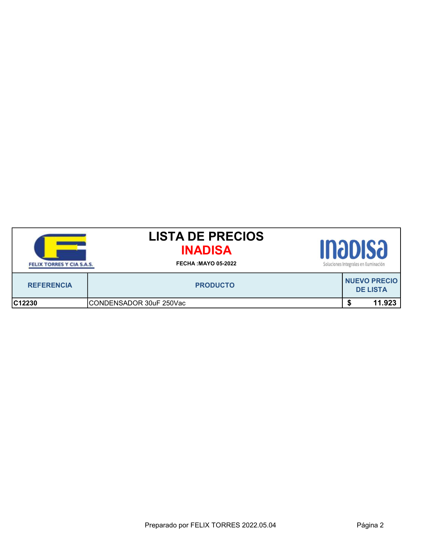| FELIX TORRES Y CIA S.A.S. | <b>LISTA DE PRECIOS</b><br><b>INADISA</b><br><b>FECHA: MAYO 05-2022</b> | INƏDISƏ<br>Soluciones Integrales en Iluminación |  |                                        |  |
|---------------------------|-------------------------------------------------------------------------|-------------------------------------------------|--|----------------------------------------|--|
| <b>REFERENCIA</b>         | <b>PRODUCTO</b>                                                         |                                                 |  | <b>NUEVO PRECIO</b><br><b>DE LISTA</b> |  |
| C12230                    | CONDENSADOR 30uF 250Vac                                                 |                                                 |  | 11.923                                 |  |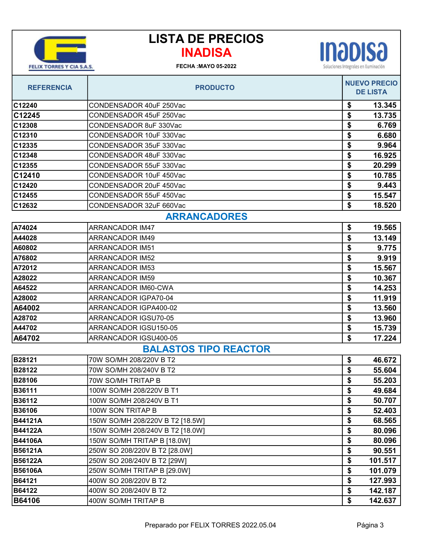

## INADISA LISTA DE PRECIOS

## FECHA :MAYO 05-2022



| <b>REFERENCIA</b>            | <b>PRODUCTO</b>                  |    | <b>NUEVO PRECIO</b><br><b>DE LISTA</b> |  |
|------------------------------|----------------------------------|----|----------------------------------------|--|
| C12240                       | CONDENSADOR 40uF 250Vac          | \$ | 13.345                                 |  |
| C12245                       | CONDENSADOR 45uF 250Vac          | \$ | 13.735                                 |  |
| C12308                       | CONDENSADOR 8uF 330Vac           | \$ | 6.769                                  |  |
| C12310                       | CONDENSADOR 10uF 330Vac          | \$ | 6.680                                  |  |
| C12335                       | CONDENSADOR 35uF 330Vac          | \$ | 9.964                                  |  |
| C12348                       | CONDENSADOR 48uF 330Vac          | \$ | 16.925                                 |  |
| C12355                       | CONDENSADOR 55uF 330Vac          | \$ | 20.299                                 |  |
| C12410                       | CONDENSADOR 10uF 450Vac          | \$ | 10.785                                 |  |
| C12420                       | CONDENSADOR 20uF 450Vac          | \$ | 9.443                                  |  |
| C12455                       | CONDENSADOR 55uF 450Vac          | \$ | 15.547                                 |  |
| C12632                       | CONDENSADOR 32uF 660Vac          | \$ | 18.520                                 |  |
| <b>ARRANCADORES</b>          |                                  |    |                                        |  |
| A74024                       | <b>ARRANCADOR IM47</b>           | \$ | 19.565                                 |  |
| A44028                       | <b>ARRANCADOR IM49</b>           | \$ | 13.149                                 |  |
| A60802                       | <b>ARRANCADOR IM51</b>           | \$ | 9.775                                  |  |
| A76802                       | <b>ARRANCADOR IM52</b>           | \$ | 9.919                                  |  |
| A72012                       | <b>ARRANCADOR IM53</b>           | \$ | 15.567                                 |  |
| A28022                       | <b>ARRANCADOR IM59</b>           | \$ | 10.367                                 |  |
| A64522                       | ARRANCADOR IM60-CWA              | \$ | 14.253                                 |  |
| A28002                       | ARRANCADOR IGPA70-04             | \$ | 11.919                                 |  |
| A64002                       | ARRANCADOR IGPA400-02            | \$ | 13.560                                 |  |
| A28702                       | ARRANCADOR IGSU70-05             | \$ | 13.960                                 |  |
| A44702                       | ARRANCADOR IGSU150-05            | \$ | 15.739                                 |  |
| A64702                       | ARRANCADOR IGSU400-05            | \$ | 17.224                                 |  |
| <b>BALASTOS TIPO REACTOR</b> |                                  |    |                                        |  |
| B28121                       | 70W SO/MH 208/220V B T2          | \$ | 46.672                                 |  |
| B28122                       | 70W SO/MH 208/240V B T2          | \$ | 55.604                                 |  |
| B28106                       | 70W SO/MH TRITAP B               | \$ | 55.203                                 |  |
| B36111                       | 100W SO/MH 208/220V B T1         | \$ | 49.684                                 |  |
| B36112                       | 100W SO/MH 208/240V B T1         | \$ | 50.707                                 |  |
| B36106                       | 100W SON TRITAP B                | \$ | 52.403                                 |  |
| B44121A                      | 150W SO/MH 208/220V B T2 [18.5W] | \$ | 68.565                                 |  |
| <b>B44122A</b>               | 150W SO/MH 208/240V B T2 [18.0W] | \$ | 80.096                                 |  |
| <b>B44106A</b>               | 150W SO/MH TRITAP B [18.0W]      | \$ | 80.096                                 |  |
| <b>B56121A</b>               | 250W SO 208/220V B T2 [28.0W]    | \$ | 90.551                                 |  |
| B56122A                      | 250W SO 208/240V B T2 [29W]      | \$ | 101.517                                |  |
| <b>B56106A</b>               | 250W SO/MH TRITAP B [29.0W]      | \$ | 101.079                                |  |
| B64121                       | 400W SO 208/220V B T2            | \$ | 127.993                                |  |
| B64122                       | 400W SO 208/240V B T2            | \$ | 142.187                                |  |
| B64106                       | 400W SO/MH TRITAP B              | \$ | 142.637                                |  |